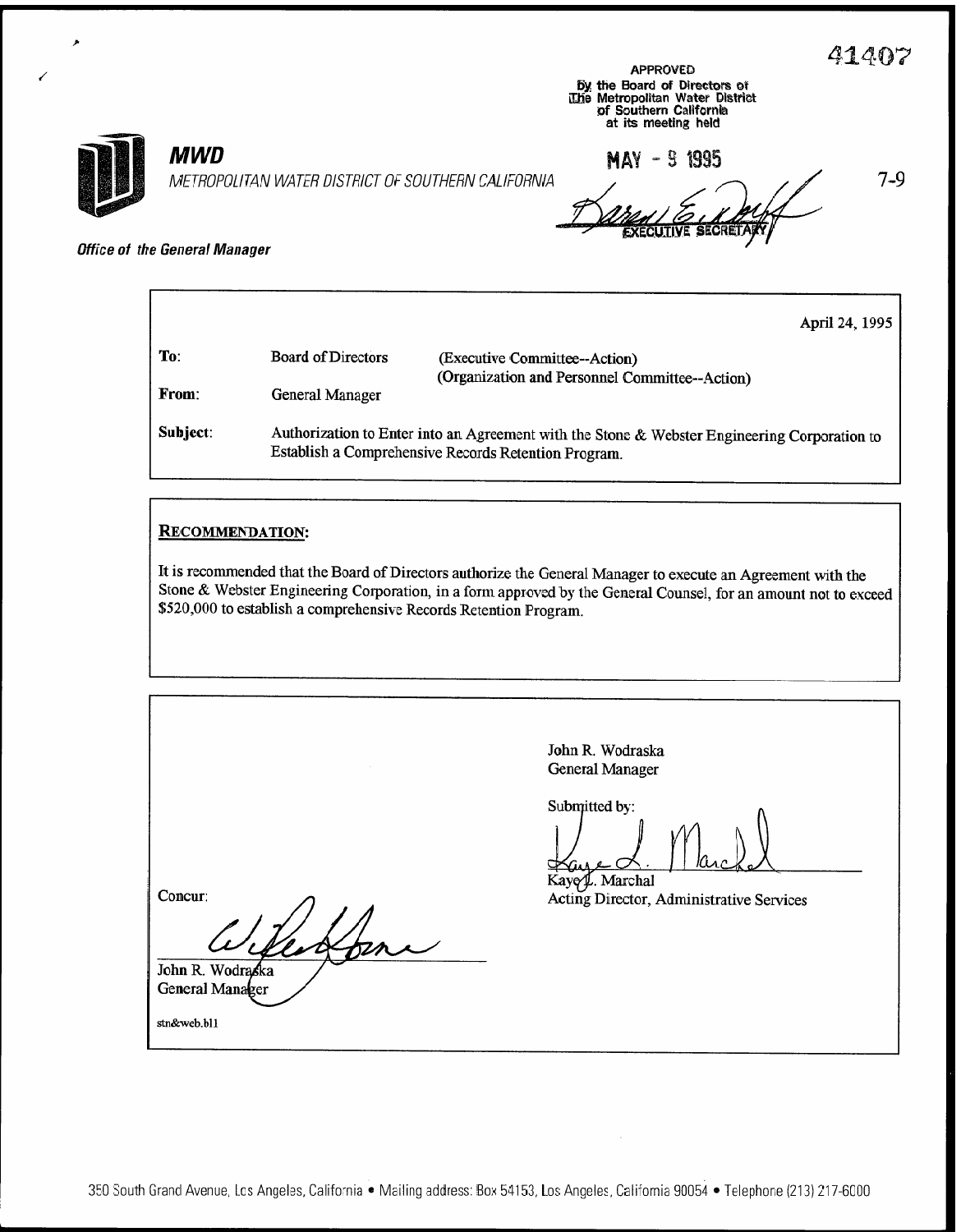$7 - 9$ 

| <b>APPROVED</b>                 |
|---------------------------------|
| by the Board of Directors of    |
| The Metropolitan Water District |
| of Southern California          |
| at its meeting held             |



## **MWD**

METROPOLITAN WATER DISTRICT OF SOUTHERN CALIFORNIA

MAY - 9 1995

**Office of the General Manager** 

|          |                                                                                                                                                      | April 24, 1995                                                                  |  |  |
|----------|------------------------------------------------------------------------------------------------------------------------------------------------------|---------------------------------------------------------------------------------|--|--|
| To:      | <b>Board of Directors</b>                                                                                                                            | (Executive Committee--Action)<br>(Organization and Personnel Committee--Action) |  |  |
| From:    | General Manager                                                                                                                                      |                                                                                 |  |  |
| Subject: | Authorization to Enter into an Agreement with the Stone & Webster Engineering Corporation to<br>Establish a Comprehensive Records Retention Program. |                                                                                 |  |  |

#### **RECOMMENDATION:**

It is recommended that the Board of Directors authorize the General Manager to execute an Agreement with the Stone & Webster Engineering Corporation, in a form approved by the General Counsel, for an amount not to exceed \$520,000 to establish a comprehensive Records Retention Program.

John R. Wodraska **General Manager** Submitted by: Kayey. Marchal Concur: Acting Director, Administrative Services John R. Wodrąska General Manager stn&web.bl1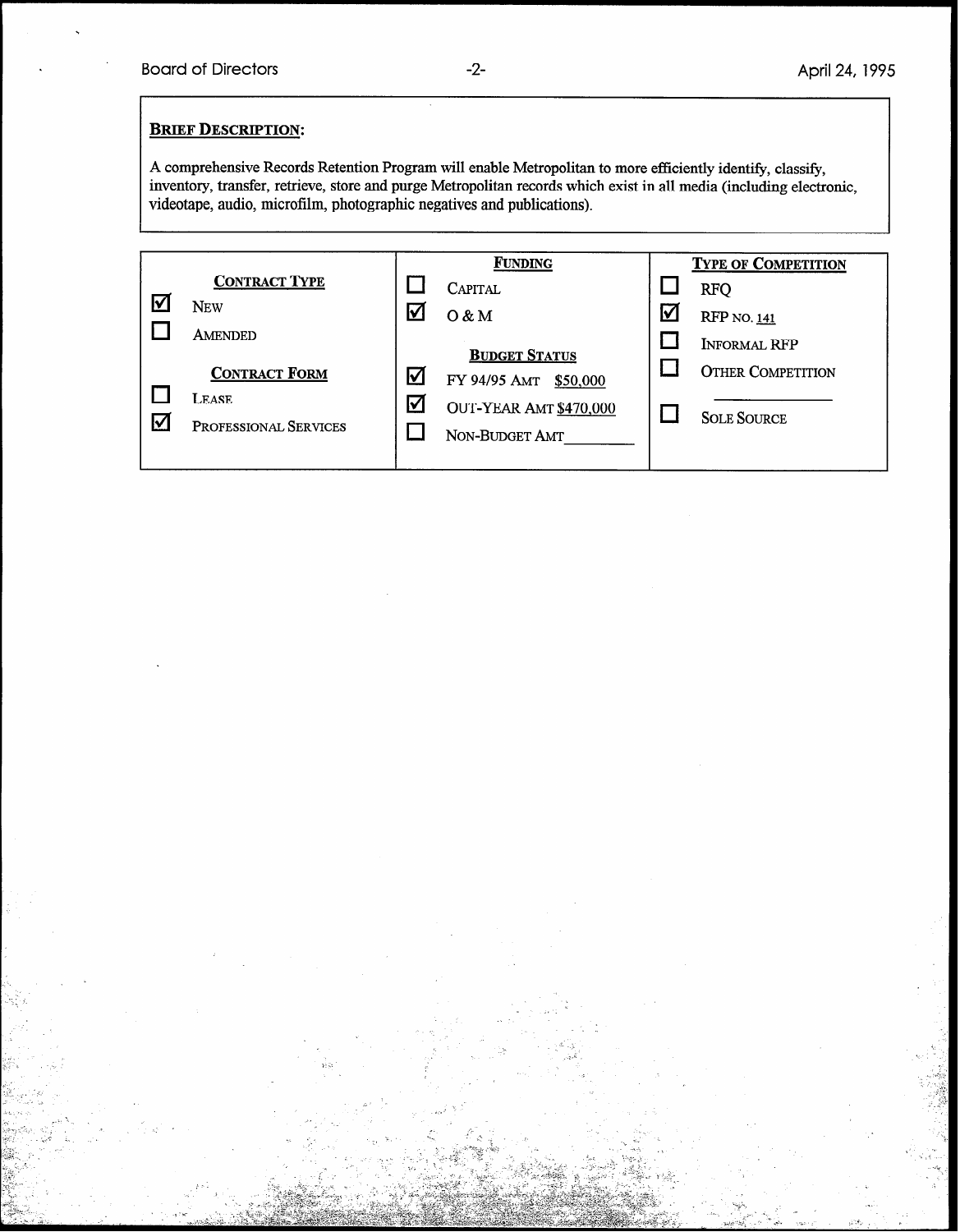l

#### **BRIEF DESCRIPTION:**

A comprehensive Records Retention Program will enable Metropolitan to more efficiently identify, classify, inventory, transfer, retrieve, store and purge Metropolitan records which exist in all media (including electronic, videotape, audio, microfilm, photographic negatives and publications).

|   |                       |   | <b>FUNDING</b>         |            | <b>TYPE OF COMPETITION</b> |
|---|-----------------------|---|------------------------|------------|----------------------------|
|   | <b>CONTRACT TYPE</b>  |   | CAPITAL                |            | <b>RFQ</b>                 |
| ∇ | <b>NEW</b>            | M | 0 & M                  | <u>lv/</u> | <b>RFP</b> NO. 141         |
|   | AMENDED               |   | <b>BUDGET STATUS</b>   |            | <b>INFORMAL RFP</b>        |
|   | <b>CONTRACT FORM</b>  | М | FY 94/95 AMT \$50,000  |            | <b>OTHER COMPETITION</b>   |
|   | LEASE.                | ☑ | OUT-YEAR AMT \$470,000 |            |                            |
| Μ | PROFESSIONAL SERVICES |   | NON-BUDGET AMT         |            | <b>SOLE SOURCE</b>         |
|   |                       |   |                        |            |                            |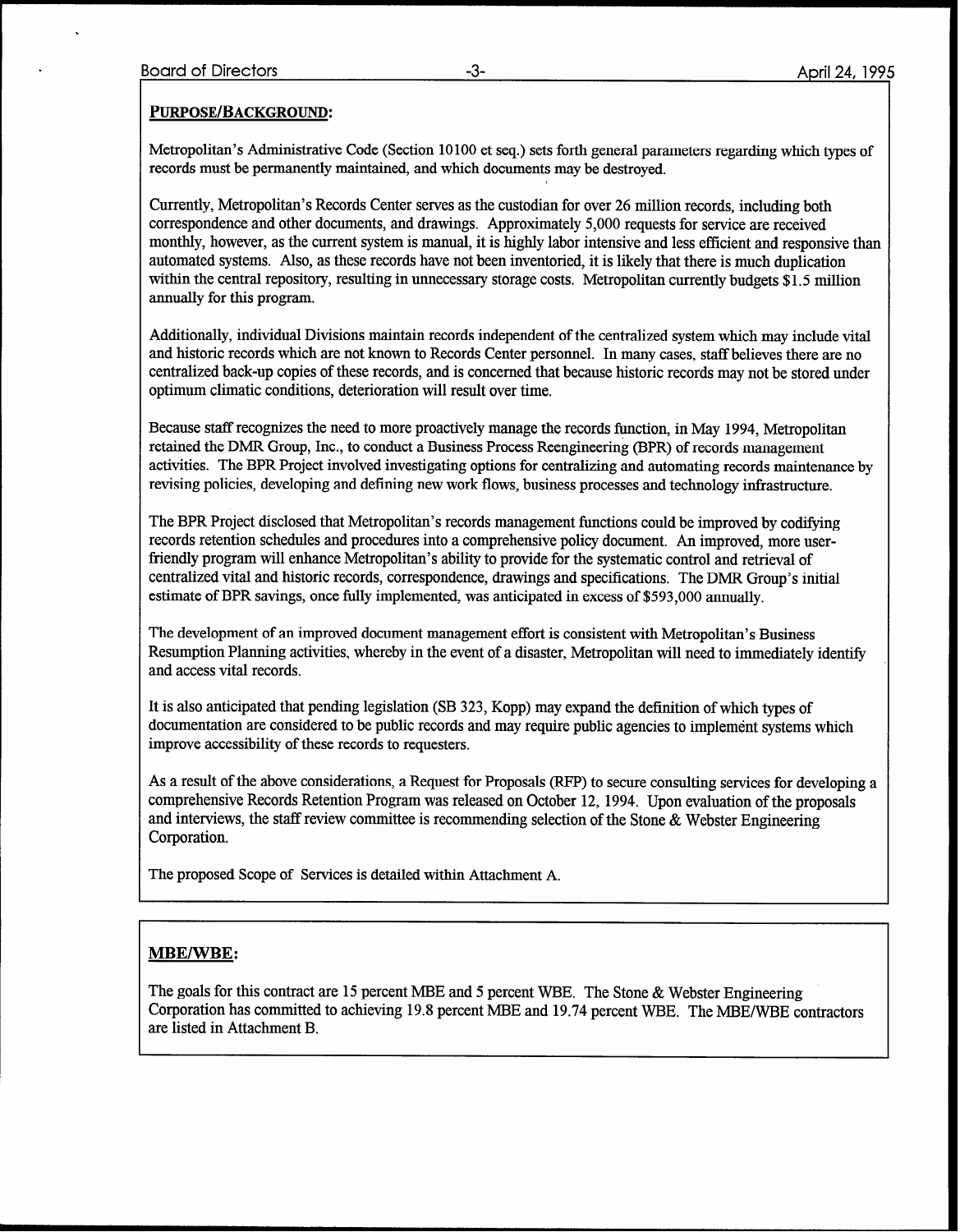#### PURPOSE/BACKGROUND:

Metropolitan's Administrative Code (Section 10100 et seq.) sets forth general parameters regarding which types of records must be permanently maintained, and which documents may be destroyed.

Currently, Metropolitan's Records Center serves as the custodian for over 26 million records, including both correspondence and other documents, and drawings. Approximately 5,000 requests for service are received monthly, however, as the current system is manual, it is highly labor intensive and less efficient and responsive than automated systems. Also, as these records have not been inventoried, it is likely that there is much duplication within the central repository, resulting in unnecessary storage costs. Metropolitan currently budgets \$1.5 million ammally for this program.

Additionally, individual Divisions maintain records independent of the centralized system which may include vital and historic records which are not known to Records Center personnel. In many cases, staff believes there are no centralized back-up copies of these records, and is concerned that because historic records may not be stored under optimum climatic conditions, deterioration will result over time.

Because staff recognizes the need to more proactively manage the records function, in May 1994, Metropolitan retained the DMR Group, Inc., to conduct a Business Process Reengineering (BPR) of records management activities. The BPR Project involved investigating options for centralizing and automating records maintenance by revising policies, developing and defining new work flows, business processes and technology infrastructure.

The BPR Project disclosed that Metropolitan's records management functions could be improved by codifying records retention schedules and procedures into a comprehensive policy document. An improved, more userfriendly program will enhance Metropolitan's ability to provide for the systematic control and retrieval of centralized vital and historic records, correspondence, drawings and specifications. The DMR Group's initial estimate of BPR savings, once fully implemented, was anticipated in excess of \$593,000 annually.

The development of an improved document management effort is consistent with Metropolitan's Business Resumption Planning activities, whereby in the event of a disaster, Metropolitan will need to immediately identify and access vital records.

It is also anticipated that pending legislation (SB 323, Kopp) may expand the definition of which types of documentation are considered to be public records and may require public agencies to implement systems which improve accessibility of these records to requesters.

As a result of the above considerations, a Request for Proposals (RFP) to secure consulting services for developing a comprehensive Records Retention Program was released on October 12, 1994. Upon evaluation of the proposals and interviews, the staff review committee is recommending selection of the Stone & Webster Engineering Corporation.

The proposed Scope of Services is detailed within Attachment A.

#### **MBE/WBE:**

The goals for this contract are 15 percent MBE and 5 percent WBE. The Stone & Webster Engineering Corporation has committed to achieving 19.8 percent MBE and 19.74 percent WBE. The MBE/WBE contractors are listed in Attachment B.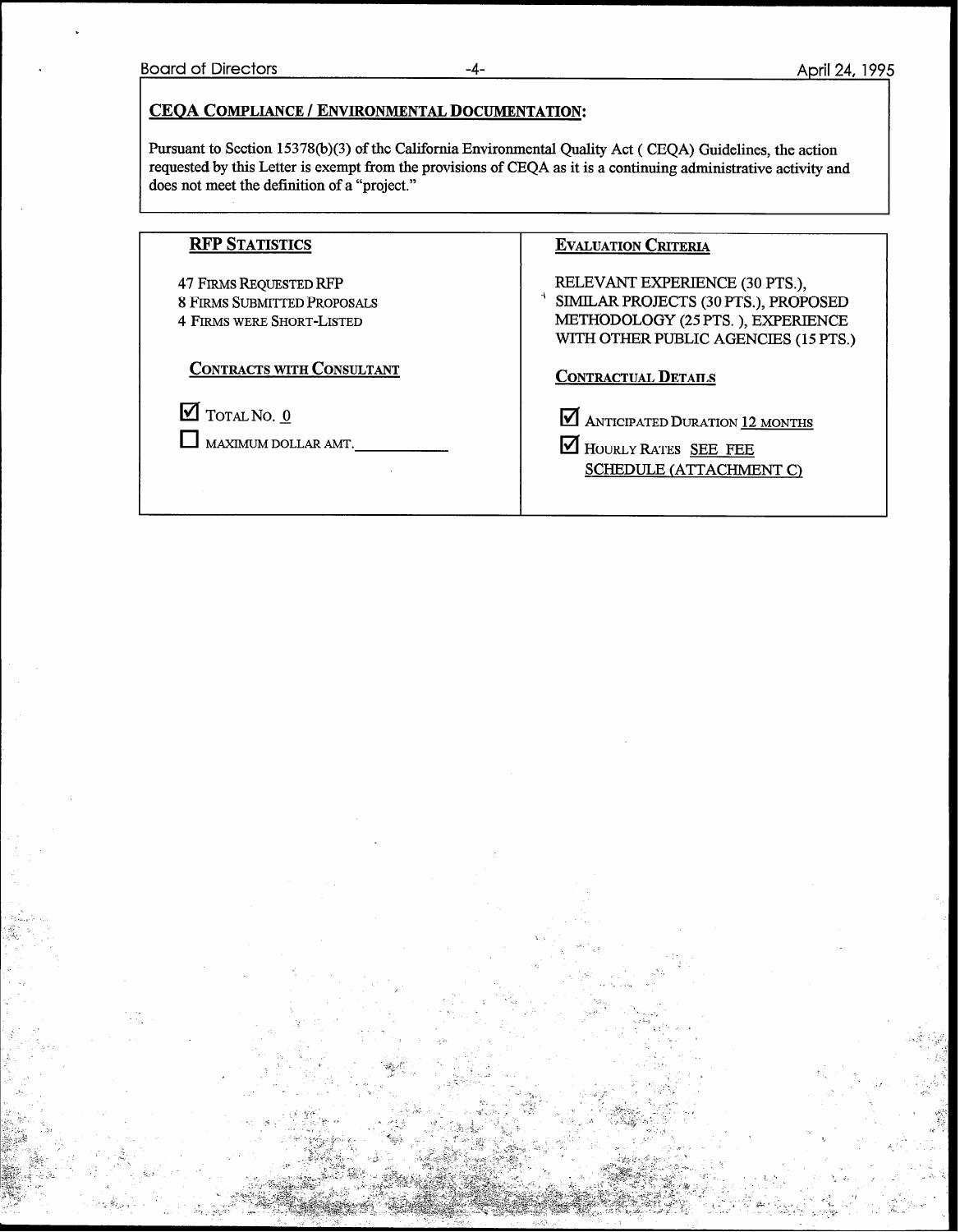#### CEQA COMPLIANCE/ ENVIRONMENTAL DOCUMENTATION:

Pursuant to Section 15378(b)(3) of the California Environmental Quality Act ( CEQA) Guidelines, the action requested by this Letter is exempt from the provisions of CEQA as it is a continuing administrative activity and does not meet the definition of a "project."

| <b>RFP STATISTICS</b>                                                                                   | <b>EVALUATION CRITERIA</b>                                                                                                                          |
|---------------------------------------------------------------------------------------------------------|-----------------------------------------------------------------------------------------------------------------------------------------------------|
| <b>47 FIRMS REQUESTED RFP</b><br><b>8 FIRMS SUBMITTED PROPOSALS</b><br><b>4 FIRMS WERE SHORT-LISTED</b> | RELEVANT EXPERIENCE (30 PTS.).<br>SIMILAR PROJECTS (30 PTS.), PROPOSED<br>METHODOLOGY (25 PTS.), EXPERIENCE<br>WITH OTHER PUBLIC AGENCIES (15 PTS.) |
| <b>CONTRACTS WITH CONSULTANT</b>                                                                        | <b>CONTRACTUAL DETAILS</b>                                                                                                                          |
| $\blacksquare$ TOTAL NO. 0<br>MAXIMUM DOLLAR AMT.                                                       | <b>M</b> ANTICIPATED DURATION 12 MONTHS<br>HOURLY RATES SEE FEE<br>SCHEDULE (ATTACHMENT C)                                                          |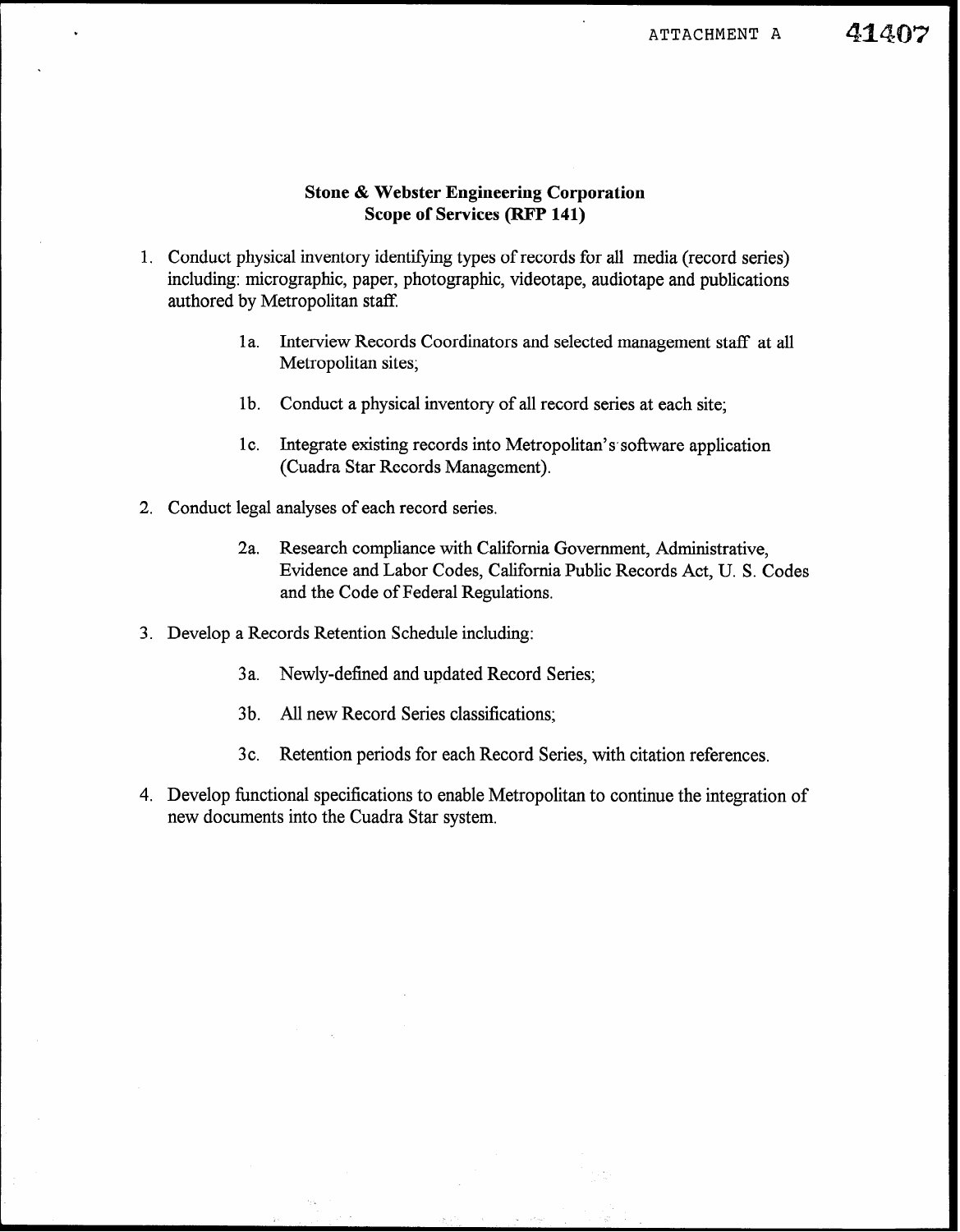### 41407

#### Stone & Webster Engineering Corporation Scope of Services (RFP 141)

- 1. Conduct physical inventory identifying types of records for all media (record series) including: micrographic, paper, photographic, videotape, audiotape and publications authored by Metropolitan staff.
	- la. Interview Records Coordinators and selected management staff at all Metropolitan sites;
	- lb. Conduct a physical inventory of all record series at each site;
	- 1c. Integrate existing records into Metropolitan's software application (Cuadra Star Records Management).
- 2. Conduct legal analyses of each record series.
	- 2a. Research compliance with California Government, Administrative, Evidence and Labor Codes, California Public Records Act, U. S. Codes and the Code of Federal Regulations.
- 3. Develop a Records Retention Schedule including:
	- 3a. Newly-defined and updated Record Series;
	- 3b. All new Record Series classifications;
	- 3c. Retention periods for each Record Series, with citation references.
- 4. Develop functional specifications to enable Metropolitan to continue the integration of new documents into the Cuadra Star system.